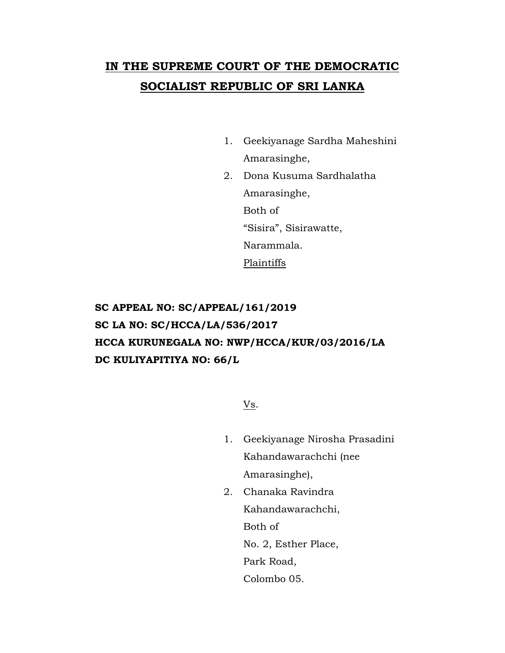# **IN THE SUPREME COURT OF THE DEMOCRATIC SOCIALIST REPUBLIC OF SRI LANKA**

- 1. Geekiyanage Sardha Maheshini Amarasinghe,
- 2. Dona Kusuma Sardhalatha Amarasinghe, Both of "Sisira", Sisirawatte, Narammala. Plaintiffs

## **SC APPEAL NO: SC/APPEAL/161/2019 SC LA NO: SC/HCCA/LA/536/2017 HCCA KURUNEGALA NO: NWP/HCCA/KUR/03/2016/LA DC KULIYAPITIYA NO: 66/L**

Vs.

- 1. Geekiyanage Nirosha Prasadini Kahandawarachchi (nee Amarasinghe),
- 2. Chanaka Ravindra Kahandawarachchi, Both of No. 2, Esther Place, Park Road, Colombo 05.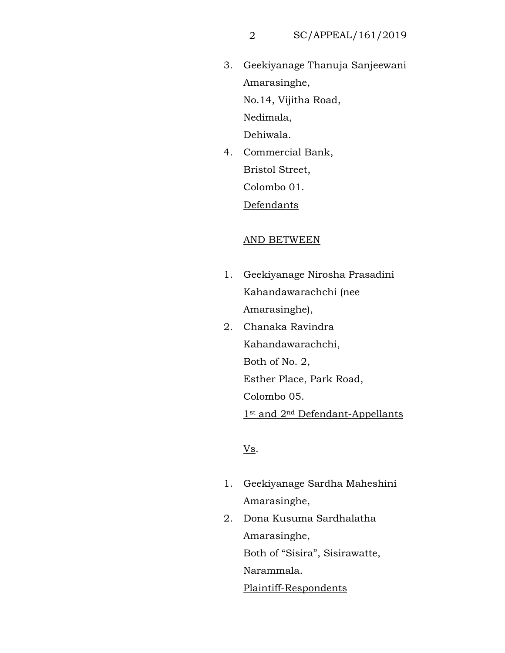3. Geekiyanage Thanuja Sanjeewani Amarasinghe, No.14, Vijitha Road, Nedimala,

Dehiwala.

4. Commercial Bank, Bristol Street, Colombo 01.

Defendants

#### AND BETWEEN

- 1. Geekiyanage Nirosha Prasadini Kahandawarachchi (nee Amarasinghe),
- 2. Chanaka Ravindra Kahandawarachchi, Both of No. 2, Esther Place, Park Road, Colombo 05. 1st and 2nd Defendant-Appellants

## Vs.

- 1. Geekiyanage Sardha Maheshini Amarasinghe,
- 2. Dona Kusuma Sardhalatha Amarasinghe, Both of "Sisira", Sisirawatte, Narammala. Plaintiff-Respondents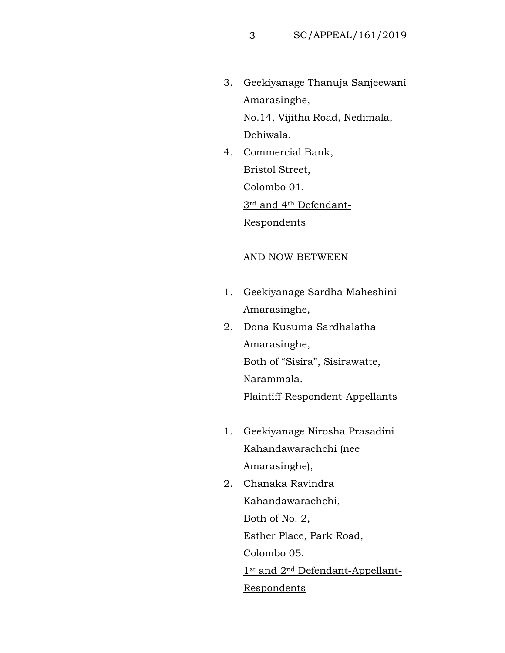3. Geekiyanage Thanuja Sanjeewani Amarasinghe,

No.14, Vijitha Road, Nedimala, Dehiwala.

4. Commercial Bank, Bristol Street, Colombo 01. 3rd and 4th Defendant-Respondents

### AND NOW BETWEEN

- 1. Geekiyanage Sardha Maheshini Amarasinghe,
- 2. Dona Kusuma Sardhalatha Amarasinghe, Both of "Sisira", Sisirawatte, Narammala. Plaintiff-Respondent-Appellants
- 1. Geekiyanage Nirosha Prasadini Kahandawarachchi (nee Amarasinghe),
- 2. Chanaka Ravindra Kahandawarachchi, Both of No. 2, Esther Place, Park Road, Colombo 05. 1st and 2<sup>nd</sup> Defendant-Appellant-Respondents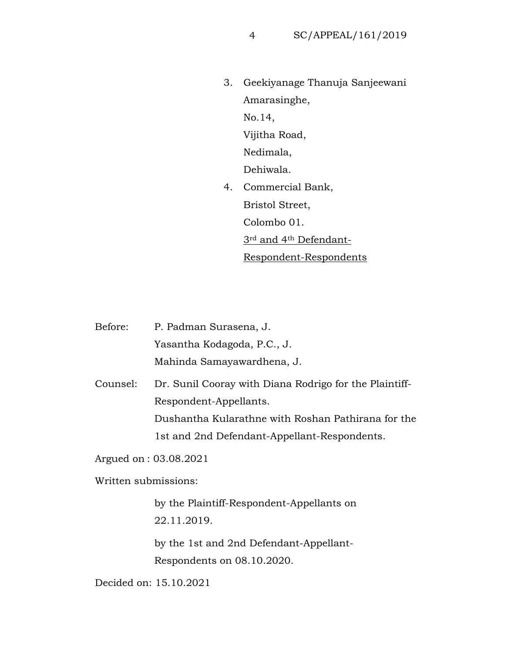3. Geekiyanage Thanuja Sanjeewani Amarasinghe, No.14, Vijitha Road, Nedimala, Dehiwala. 4. Commercial Bank, Bristol Street, Colombo 01. 3rd and 4th Defendant-Respondent-Respondents

Before: P. Padman Surasena, J. Yasantha Kodagoda, P.C., J. Mahinda Samayawardhena, J. Counsel: Dr. Sunil Cooray with Diana Rodrigo for the Plaintiff-Respondent-Appellants. Dushantha Kularathne with Roshan Pathirana for the 1st and 2nd Defendant-Appellant-Respondents. Argued on : 03.08.2021

Written submissions:

by the Plaintiff-Respondent-Appellants on 22.11.2019.

by the 1st and 2nd Defendant-Appellant-Respondents on 08.10.2020.

Decided on: 15.10.2021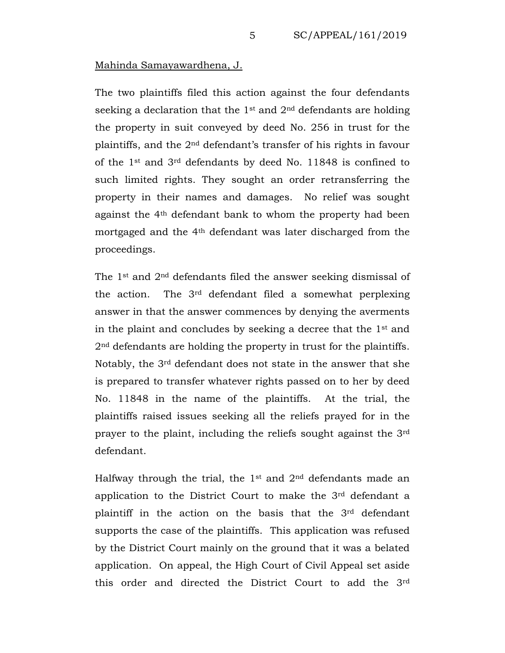### Mahinda Samayawardhena, J.

The two plaintiffs filed this action against the four defendants seeking a declaration that the  $1<sup>st</sup>$  and  $2<sup>nd</sup>$  defendants are holding the property in suit conveyed by deed No. 256 in trust for the plaintiffs, and the 2nd defendant's transfer of his rights in favour of the 1st and 3rd defendants by deed No. 11848 is confined to such limited rights. They sought an order retransferring the property in their names and damages. No relief was sought against the 4th defendant bank to whom the property had been mortgaged and the 4th defendant was later discharged from the proceedings.

The 1st and 2nd defendants filed the answer seeking dismissal of the action. The 3rd defendant filed a somewhat perplexing answer in that the answer commences by denying the averments in the plaint and concludes by seeking a decree that the 1st and 2nd defendants are holding the property in trust for the plaintiffs. Notably, the 3rd defendant does not state in the answer that she is prepared to transfer whatever rights passed on to her by deed No. 11848 in the name of the plaintiffs. At the trial, the plaintiffs raised issues seeking all the reliefs prayed for in the prayer to the plaint, including the reliefs sought against the 3rd defendant.

Halfway through the trial, the  $1<sup>st</sup>$  and  $2<sup>nd</sup>$  defendants made an application to the District Court to make the 3rd defendant a plaintiff in the action on the basis that the 3rd defendant supports the case of the plaintiffs. This application was refused by the District Court mainly on the ground that it was a belated application. On appeal, the High Court of Civil Appeal set aside this order and directed the District Court to add the 3rd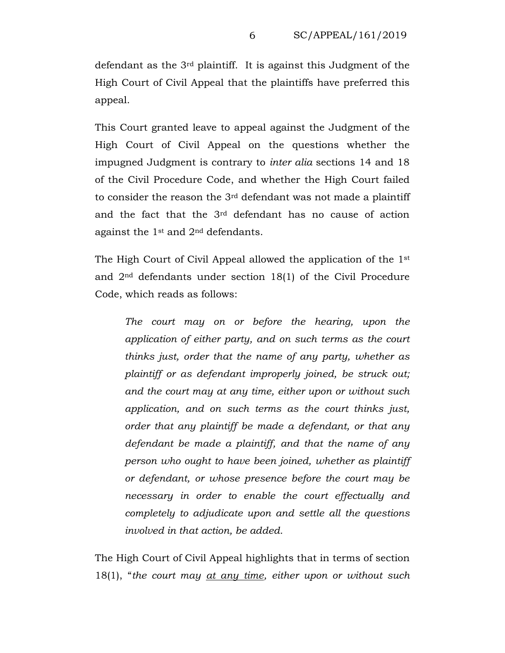defendant as the 3rd plaintiff. It is against this Judgment of the High Court of Civil Appeal that the plaintiffs have preferred this appeal.

This Court granted leave to appeal against the Judgment of the High Court of Civil Appeal on the questions whether the impugned Judgment is contrary to *inter alia* sections 14 and 18 of the Civil Procedure Code, and whether the High Court failed to consider the reason the 3rd defendant was not made a plaintiff and the fact that the 3rd defendant has no cause of action against the  $1<sup>st</sup>$  and  $2<sup>nd</sup>$  defendants.

The High Court of Civil Appeal allowed the application of the 1st and 2nd defendants under section 18(1) of the Civil Procedure Code, which reads as follows:

*The court may on or before the hearing, upon the application of either party, and on such terms as the court thinks just, order that the name of any party, whether as plaintiff or as defendant improperly joined, be struck out; and the court may at any time, either upon or without such application, and on such terms as the court thinks just, order that any plaintiff be made a defendant, or that any defendant be made a plaintiff, and that the name of any person who ought to have been joined, whether as plaintiff or defendant, or whose presence before the court may be necessary in order to enable the court effectually and completely to adjudicate upon and settle all the questions involved in that action, be added.*

The High Court of Civil Appeal highlights that in terms of section 18(1), "*the court may at any time, either upon or without such*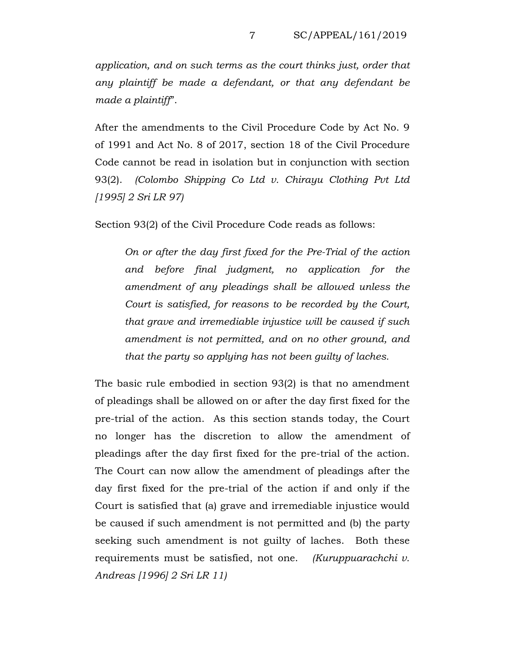*application, and on such terms as the court thinks just, order that any plaintiff be made a defendant, or that any defendant be made a plaintiff*".

After the amendments to the Civil Procedure Code by Act No. 9 of 1991 and Act No. 8 of 2017, section 18 of the Civil Procedure Code cannot be read in isolation but in conjunction with section 93(2). *(Colombo Shipping Co Ltd v. Chirayu Clothing Pvt Ltd [1995] 2 Sri LR 97)*

Section 93(2) of the Civil Procedure Code reads as follows:

*On or after the day first fixed for the Pre-Trial of the action and before final judgment, no application for the amendment of any pleadings shall be allowed unless the Court is satisfied, for reasons to be recorded by the Court, that grave and irremediable injustice will be caused if such amendment is not permitted, and on no other ground, and that the party so applying has not been guilty of laches.*

The basic rule embodied in section 93(2) is that no amendment of pleadings shall be allowed on or after the day first fixed for the pre-trial of the action. As this section stands today, the Court no longer has the discretion to allow the amendment of pleadings after the day first fixed for the pre-trial of the action. The Court can now allow the amendment of pleadings after the day first fixed for the pre-trial of the action if and only if the Court is satisfied that (a) grave and irremediable injustice would be caused if such amendment is not permitted and (b) the party seeking such amendment is not guilty of laches. Both these requirements must be satisfied, not one. *(Kuruppuarachchi v. Andreas [1996] 2 Sri LR 11)*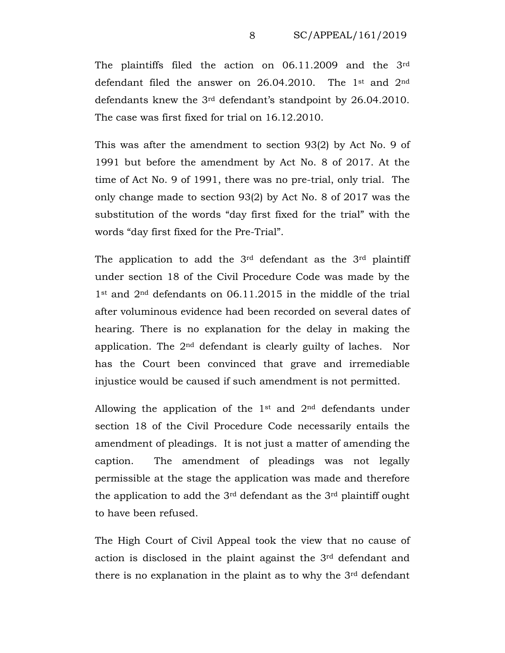The plaintiffs filed the action on 06.11.2009 and the 3rd defendant filed the answer on  $26.04.2010$ . The 1<sup>st</sup> and  $2<sup>nd</sup>$ defendants knew the 3rd defendant's standpoint by 26.04.2010. The case was first fixed for trial on 16.12.2010.

This was after the amendment to section 93(2) by Act No. 9 of 1991 but before the amendment by Act No. 8 of 2017. At the time of Act No. 9 of 1991, there was no pre-trial, only trial. The only change made to section 93(2) by Act No. 8 of 2017 was the substitution of the words "day first fixed for the trial" with the words "day first fixed for the Pre-Trial".

The application to add the  $3<sup>rd</sup>$  defendant as the  $3<sup>rd</sup>$  plaintiff under section 18 of the Civil Procedure Code was made by the 1st and 2nd defendants on 06.11.2015 in the middle of the trial after voluminous evidence had been recorded on several dates of hearing. There is no explanation for the delay in making the application. The 2nd defendant is clearly guilty of laches. Nor has the Court been convinced that grave and irremediable injustice would be caused if such amendment is not permitted.

Allowing the application of the 1st and 2nd defendants under section 18 of the Civil Procedure Code necessarily entails the amendment of pleadings. It is not just a matter of amending the caption. The amendment of pleadings was not legally permissible at the stage the application was made and therefore the application to add the  $3<sup>rd</sup>$  defendant as the  $3<sup>rd</sup>$  plaintiff ought to have been refused.

The High Court of Civil Appeal took the view that no cause of action is disclosed in the plaint against the 3rd defendant and there is no explanation in the plaint as to why the 3rd defendant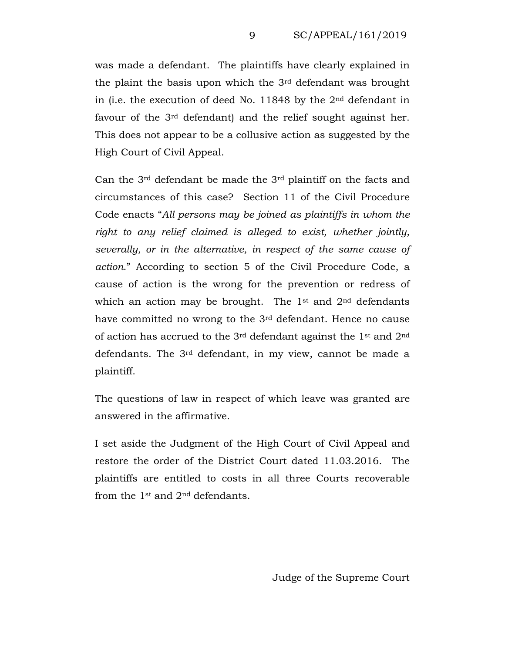was made a defendant. The plaintiffs have clearly explained in the plaint the basis upon which the 3rd defendant was brought in (i.e. the execution of deed No. 11848 by the 2nd defendant in favour of the 3rd defendant) and the relief sought against her. This does not appear to be a collusive action as suggested by the High Court of Civil Appeal.

Can the 3rd defendant be made the 3rd plaintiff on the facts and circumstances of this case? Section 11 of the Civil Procedure Code enacts "*All persons may be joined as plaintiffs in whom the right to any relief claimed is alleged to exist, whether jointly, severally, or in the alternative, in respect of the same cause of action*." According to section 5 of the Civil Procedure Code, a cause of action is the wrong for the prevention or redress of which an action may be brought. The  $1<sup>st</sup>$  and  $2<sup>nd</sup>$  defendants have committed no wrong to the 3rd defendant. Hence no cause of action has accrued to the 3rd defendant against the 1st and 2nd defendants. The 3rd defendant, in my view, cannot be made a plaintiff.

The questions of law in respect of which leave was granted are answered in the affirmative.

I set aside the Judgment of the High Court of Civil Appeal and restore the order of the District Court dated 11.03.2016. The plaintiffs are entitled to costs in all three Courts recoverable from the 1st and 2nd defendants.

Judge of the Supreme Court